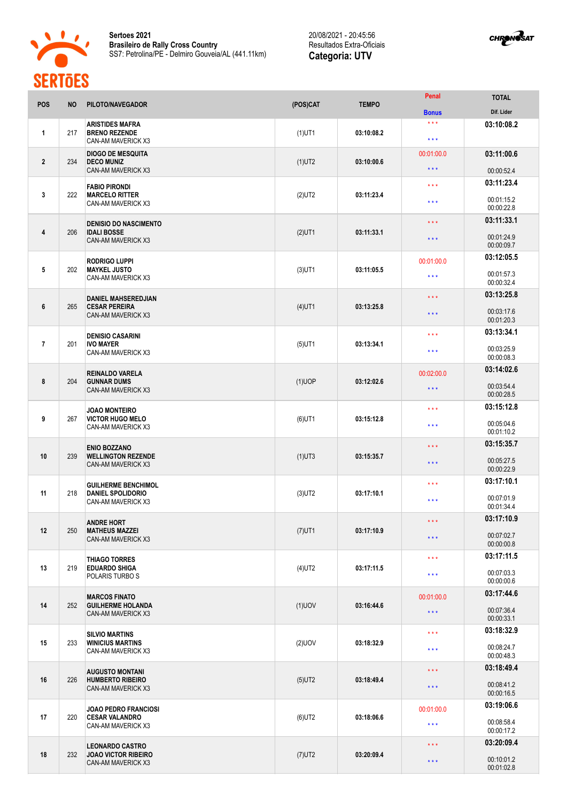



| <b>POS</b>     | <b>NO</b> | PILOTO/NAVEGADOR                                                           | (POS)CAT  | <b>TEMPO</b> | Penal                                              | <b>TOTAL</b>                           |
|----------------|-----------|----------------------------------------------------------------------------|-----------|--------------|----------------------------------------------------|----------------------------------------|
|                |           |                                                                            |           |              | <b>Bonus</b>                                       | Dif. Lider                             |
| 1              | 217       | <b>ARISTIDES MAFRA</b><br><b>BRENO REZENDE</b><br>CAN-AM MAVERICK X3       | $(1)$ UT1 | 03:10:08.2   | $\star$ $\star$ $\star$<br>$\star$ $\star$ $\star$ | 03:10:08.2                             |
| $\mathbf{2}$   | 234       | <b>DIOGO DE MESQUITA</b><br><b>DECO MUNIZ</b><br><b>CAN-AM MAVERICK X3</b> | $(1)$ UT2 | 03:10:00.6   | 00:01:00.0<br>* * *                                | 03:11:00.6                             |
|                |           |                                                                            |           |              |                                                    | 00:00:52.4                             |
| 3              | 222       | <b>FABIO PIRONDI</b><br><b>MARCELO RITTER</b><br>CAN-AM MAVERICK X3        | $(2)$ UT2 | 03:11:23.4   | $\star$ $\star$ $\star$<br>* * *                   | 03:11:23.4<br>00:01:15.2<br>00:00:22.8 |
|                |           |                                                                            |           |              |                                                    | 03:11:33.1                             |
| 4              | 206       | <b>DENISIO DO NASCIMENTO</b><br><b>IDALI BOSSE</b><br>CAN-AM MAVERICK X3   | $(2)$ UT1 | 03:11:33.1   | $\star$ $\star$ $\star$<br>* * *                   | 00:01:24.9<br>00:00:09.7               |
|                |           |                                                                            |           |              |                                                    | 03:12:05.5                             |
| 5              | 202       | <b>RODRIGO LUPPI</b><br><b>MAYKEL JUSTO</b><br>CAN-AM MAVERICK X3          | $(3)$ UT1 | 03:11:05.5   | 00:01:00.0<br>$\star \star \star$                  | 00:01:57.3<br>00:00:32.4               |
|                |           | <b>DANIEL MAHSEREDJIAN</b>                                                 |           |              | * * *                                              | 03:13:25.8                             |
| 6              | 265       | <b>CESAR PEREIRA</b><br>CAN-AM MAVERICK X3                                 | $(4)$ UT1 | 03:13:25.8   | $\star$ $\star$ $\star$                            | 00:03:17.6<br>00:01:20.3               |
|                |           | <b>DENISIO CASARINI</b>                                                    |           |              | $\star$ $\star$ $\star$                            | 03:13:34.1                             |
| $\overline{1}$ | 201       | <b>IVO MAYER</b><br>CAN-AM MAVERICK X3                                     | $(5)$ UT1 | 03:13:34.1   | * * *                                              | 00:03:25.9<br>00:00:08.3               |
|                |           | <b>REINALDO VARELA</b>                                                     |           |              | 00:02:00.0                                         | 03:14:02.6                             |
| 8              | 204       | <b>GUNNAR DUMS</b><br><b>CAN-AM MAVERICK X3</b>                            | $(1)$ UOP | 03:12:02.6   | * * *                                              | 00:03:54.4<br>00:00:28.5               |
|                |           | <b>JOAO MONTEIRO</b><br><b>VICTOR HUGO MELO</b>                            |           |              | $\star \star \star$                                | 03:15:12.8                             |
| 9              | 267       |                                                                            | $(6)$ UT1 | 03:15:12.8   |                                                    |                                        |
|                |           | CAN-AM MAVERICK X3                                                         |           |              | $\star \star \star$                                | 00:05:04.6<br>00:01:10.2               |
|                |           | <b>ENIO BOZZANO</b>                                                        |           |              | $\star$ $\star$ $\star$                            | 03:15:35.7                             |
| 10             | 239       | <b>WELLINGTON REZENDE</b><br>CAN-AM MAVERICK X3                            | $(1)$ UT3 | 03:15:35.7   | $\star$ $\star$ $\star$                            | 00:05:27.5<br>00:00:22.9               |
|                |           | <b>GUILHERME BENCHIMOL</b>                                                 |           |              | $\star$ $\star$ $\star$                            | 03:17:10.1                             |
| 11             | 218       | <b>DANIEL SPOLIDORIO</b><br>CAN-AM MAVERICK X3                             | $(3)$ UT2 | 03:17:10.1   | $\star \star \star$                                | 00:07:01.9<br>00:01:34.4               |
|                |           | <b>ANDRE HORT</b>                                                          |           |              | * * *                                              | 03:17:10.9                             |
| 12             | 250       | <b>MATHEUS MAZZEI</b><br>CAN-AM MAVERICK X3                                | $(7)$ UT1 | 03:17:10.9   | $\star$ $\star$ $\star$                            | 00:07:02.7<br>00:00:00.8               |
|                |           | <b>THIAGO TORRES</b>                                                       |           |              | $\star$ $\star$ $\star$                            | 03:17:11.5                             |
| 13             | 219       | <b>EDUARDO SHIGA</b><br>POLARIS TURBO S                                    | $(4)$ UT2 | 03:17:11.5   | $\star$ $\star$ $\star$                            | 00:07:03.3<br>00:00:00.6               |
|                |           | <b>MARCOS FINATO</b>                                                       |           |              | 00:01:00.0                                         | 03:17:44.6                             |
| 14             | 252       | <b>GUILHERME HOLANDA</b><br>CAN-AM MAVERICK X3                             | $(1)$ UOV | 03:16:44.6   | $\star$ $\star$ $\star$                            | 00:07:36.4<br>00:00:33.1               |
|                |           | <b>SILVIO MARTINS</b>                                                      |           |              | $\star$ $\star$ $\star$                            | 03:18:32.9                             |
| 15             | 233       | <b>WINICIUS MARTINS</b><br>CAN-AM MAVERICK X3                              | $(2)$ UOV | 03:18:32.9   | $\star$ $\star$ $\star$                            | 00:08:24.7<br>00:00:48.3               |
|                |           |                                                                            |           |              | $\star \star \star$                                | 03:18:49.4                             |
| 16             | 226       | <b>AUGUSTO MONTANI</b><br><b>HUMBERTO RIBEIRO</b><br>CAN-AM MAVERICK X3    | $(5)$ UT2 | 03:18:49.4   | $\star$ $\star$ $\star$                            | 00:08:41.2<br>00:00:16.5               |
|                |           | <b>JOAO PEDRO FRANCIOSI</b>                                                |           |              |                                                    | 03:19:06.6                             |
| 17             | 220       | <b>CESAR VALANDRO</b><br>CAN-AM MAVERICK X3                                | $(6)$ UT2 | 03:18:06.6   | 00:01:00.0<br>$\star \star \star$                  | 00:08:58.4<br>00:00:17.2               |
|                |           |                                                                            |           |              | * * *                                              | 03:20:09.4                             |
| 18             | 232       | <b>LEONARDO CASTRO</b><br><b>JOAO VICTOR RIBEIRO</b><br>CAN-AM MAVERICK X3 | $(7)$ UT2 | 03:20:09.4   | $\star$ $\star$ $\star$                            | 00:10:01.2<br>00:01:02.8               |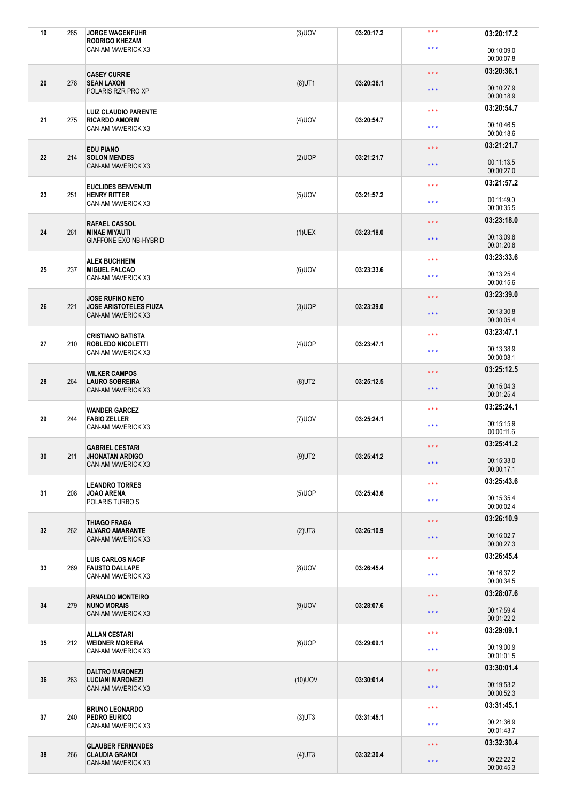| 19 | 285 | <b>JORGE WAGENFUHR</b><br><b>RODRIGO KHEZAM</b>                         | $(3)$ UOV  | 03:20:17.2 | $\star \star \star$     | 03:20:17.2               |
|----|-----|-------------------------------------------------------------------------|------------|------------|-------------------------|--------------------------|
|    |     | CAN-AM MAVERICK X3                                                      |            |            | $\star \star \star$     | 00:10:09.0<br>00:00:07.8 |
|    |     | <b>CASEY CURRIE</b>                                                     |            |            | $\star$ $\star$ $\star$ | 03:20:36.1               |
| 20 | 278 | <b>SEAN LAXON</b><br>POLARIS RZR PRO XP                                 | $(8)$ UT1  | 03:20:36.1 | $\star\star\star$       | 00:10:27.9<br>00:00:18.9 |
|    |     | <b>LUIZ CLAUDIO PARENTE</b>                                             |            |            | $\star$ $\star$ $\star$ | 03:20:54.7               |
| 21 | 275 | <b>RICARDO AMORIM</b><br>CAN-AM MAVERICK X3                             | $(4)$ UOV  | 03:20:54.7 | $\star \star \star$     | 00:10:46.5<br>00:00:18.6 |
|    |     | <b>EDU PIANO</b>                                                        |            |            | $\star$ $\star$ $\star$ | 03:21:21.7               |
| 22 | 214 | <b>SOLON MENDES</b><br>CAN-AM MAVERICK X3                               | $(2)$ UOP  | 03:21:21.7 | $\star$ $\star$ $\star$ | 00:11:13.5<br>00:00:27.0 |
| 23 | 251 | <b>EUCLIDES BENVENUTI</b><br><b>HENRY RITTER</b>                        | $(5)$ UOV  | 03:21:57.2 | $\star \star \star$     | 03:21:57.2               |
|    |     | CAN-AM MAVERICK X3                                                      |            |            | $\star \star \star$     | 00:11:49.0<br>00:00:35.5 |
| 24 | 261 | <b>RAFAEL CASSOL</b><br><b>MINAE MIYAUTI</b>                            | $(1)$ UEX  | 03:23:18.0 | $\star \star \star$     | 03:23:18.0               |
|    |     | <b>GIAFFONE EXO NB-HYBRID</b>                                           |            |            | $\star$ $\star$ $\star$ | 00:13:09.8<br>00:01:20.8 |
|    |     | <b>ALEX BUCHHEIM</b>                                                    |            |            | $\star \star \star$     | 03:23:33.6               |
| 25 | 237 | <b>MIGUEL FALCAO</b><br>CAN-AM MAVERICK X3                              | $(6)$ UOV  | 03:23:33.6 | $\star \star \star$     | 00:13:25.4<br>00:00:15.6 |
|    |     | <b>JOSE RUFINO NETO</b>                                                 |            |            | $\star$ $\star$ $\star$ | 03:23:39.0               |
| 26 | 221 | <b>JOSE ARISTOTELES FIUZA</b><br>CAN-AM MAVERICK X3                     | $(3)$ UOP  | 03:23:39.0 | $\star$ $\star$ $\star$ | 00:13:30.8<br>00:00:05.4 |
| 27 | 210 | <b>CRISTIANO BATISTA</b><br><b>ROBLEDO NICOLETTI</b>                    | $(4)$ UOP  | 03:23:47.1 | $\star \star \star$     | 03:23:47.1               |
|    |     | CAN-AM MAVERICK X3                                                      |            |            | $\star \star \star$     | 00:13:38.9<br>00:00:08.1 |
|    | 264 | <b>WILKER CAMPOS</b>                                                    |            |            | $\star$ $\star$ $\star$ | 03:25:12.5               |
| 28 |     | <b>LAURO SOBREIRA</b><br>CAN-AM MAVERICK X3                             | $(8)$ UT2  | 03:25:12.5 | $\star$ $\star$ $\star$ | 00:15:04.3<br>00:01:25.4 |
| 29 | 244 | <b>WANDER GARCEZ</b><br><b>FABIO ZELLER</b>                             | $(7)$ UOV  | 03:25:24.1 | $\star \star \star$     | 03:25:24.1               |
|    |     | CAN-AM MAVERICK X3                                                      |            |            | $\star \star \star$     | 00:15:15.9<br>00:00:11.6 |
|    |     | <b>GABRIEL CESTARI</b>                                                  |            |            | $\star$ $\star$ $\star$ | 03:25:41.2               |
| 30 | 211 | <b>JHONATAN ARDIGO</b><br>CAN-AM MAVERICK X3                            | $(9)$ UT2  | 03:25:41.2 | $\star$ $\star$ $\star$ | 00:15:33.0<br>00:00:17.1 |
| 31 | 208 | <b>LEANDRO TORRES</b>                                                   | $(5)$ UOP  |            | $\star$ $\star$ $\star$ | 03:25:43.6               |
|    |     | <b>JOAO ARENA</b><br>POLARIS TURBO S                                    |            | 03:25:43.6 | $\star \star \star$     | 00:15:35.4<br>00:00:02.4 |
|    |     | <b>THIAGO FRAGA</b>                                                     |            |            | $\star$ $\star$ $\star$ | 03:26:10.9               |
| 32 | 262 | <b>ALVARO AMARANTE</b><br>CAN-AM MAVERICK X3                            | $(2)$ UT3  | 03:26:10.9 | $\star$ $\star$ $\star$ | 00:16:02.7<br>00:00:27.3 |
|    |     | <b>LUIS CARLOS NACIF</b>                                                |            |            | $\star$ $\star$ $\star$ | 03:26:45.4               |
| 33 | 269 | <b>FAUSTO DALLAPE</b><br>CAN-AM MAVERICK X3                             | $(8)$ UOV  | 03:26:45.4 | $\star\star\star$       | 00:16:37.2<br>00:00:34.5 |
| 34 |     | <b>ARNALDO MONTEIRO</b>                                                 |            |            | $\star$ $\star$ $\star$ | 03:28:07.6               |
|    | 279 | <b>NUNO MORAIS</b><br>CAN-AM MAVERICK X3                                | $(9)$ UOV  | 03:28:07.6 | $\star$ $\star$ $\star$ | 00:17:59.4<br>00:01:22.2 |
|    |     | <b>ALLAN CESTARI</b>                                                    |            |            | $\star$ $\star$ $\star$ | 03:29:09.1               |
| 35 | 212 | <b>WEIDNER MOREIRA</b><br>CAN-AM MAVERICK X3                            | $(6)$ UOP  | 03:29:09.1 | $\star\star\star$       | 00:19:00.9<br>00:01:01.5 |
|    | 263 | <b>DALTRO MARONEZI</b><br><b>LUCIANI MARONEZI</b><br>CAN-AM MAVERICK X3 |            |            | $\star$ $\star$ $\star$ | 03:30:01.4               |
| 36 |     |                                                                         | $(10)$ UOV | 03:30:01.4 | $\star$ $\star$ $\star$ | 00:19:53.2<br>00:00:52.3 |
|    |     | <b>BRUNO LEONARDO</b>                                                   |            |            | $\star \star \star$     | 03:31:45.1               |
| 37 | 240 | PEDRO EURICO<br>CAN-AM MAVERICK X3                                      | $(3)$ UT3  | 03:31:45.1 | $\star\star\star$       | 00:21:36.9<br>00:01:43.7 |
| 38 |     | <b>GLAUBER FERNANDES</b>                                                |            |            | $\star \star \star$     | 03:32:30.4               |
|    | 266 | <b>CLAUDIA GRANDI</b>                                                   | $(4)$ UT3  | 03:32:30.4 |                         |                          |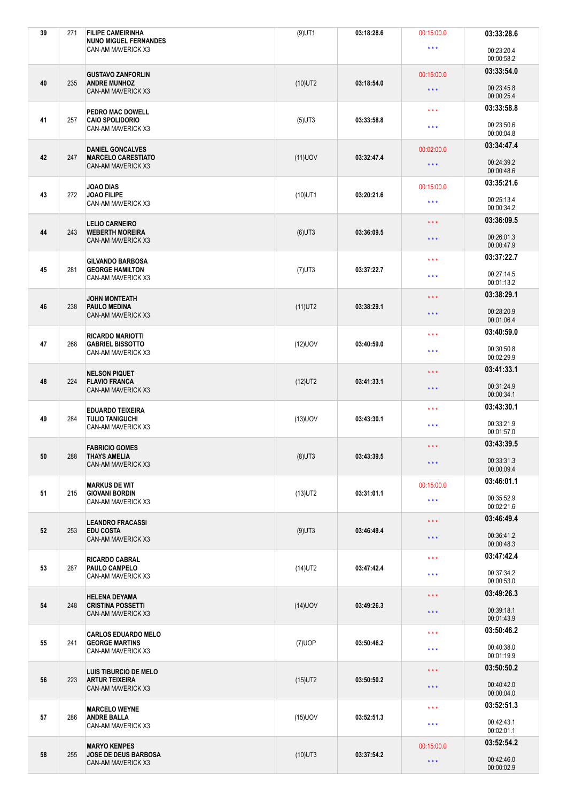| 39 | 271 | <b>FILIPE CAMEIRINHA</b><br><b>NUNO MIGUEL FERNANDES</b>                 | $(9)$ UT1  | 03:18:28.6          | 00:15:00.0              | 03:33:28.6               |
|----|-----|--------------------------------------------------------------------------|------------|---------------------|-------------------------|--------------------------|
|    |     | CAN-AM MAVERICK X3                                                       |            |                     | $\star\star\star$       | 00:23:20.4<br>00:00:58.2 |
|    |     | <b>GUSTAVO ZANFORLIN</b>                                                 |            |                     | 00:15:00.0              | 03:33:54.0               |
| 40 | 235 | <b>ANDRE MUNHOZ</b><br>CAN-AM MAVERICK X3                                | $(10)$ UT2 | 03:18:54.0          | $\star \star \star$     | 00:23:45.8<br>00:00:25.4 |
|    |     | PEDRO MAC DOWELL                                                         |            |                     | $\star \star \star$     | 03:33:58.8               |
| 41 | 257 | <b>CAIO SPOLIDORIO</b><br>CAN-AM MAVERICK X3                             | $(5)$ UT3  | 03:33:58.8          | $\star \star \star$     | 00:23:50.6<br>00:00:04.8 |
|    |     | <b>DANIEL GONCALVES</b>                                                  |            |                     | 00:02:00.0              | 03:34:47.4               |
| 42 | 247 | <b>MARCELO CARESTIATO</b><br>CAN-AM MAVERICK X3                          | $(11)$ UOV | 03:32:47.4          | $\star$ $\star$ $\star$ | 00:24:39.2<br>00:00:48.6 |
|    |     | <b>JOAO DIAS</b>                                                         |            |                     | 00:15:00.0              | 03:35:21.6               |
| 43 | 272 | <b>JOAO FILIPE</b><br>CAN-AM MAVERICK X3                                 | $(10)$ UT1 | 03:20:21.6          | $\star \star \star$     | 00:25:13.4<br>00:00:34.2 |
| 44 | 243 | <b>LELIO CARNEIRO</b><br><b>WEBERTH MOREIRA</b>                          |            |                     | $\star \star \star$     | 03:36:09.5               |
|    |     | CAN-AM MAVERICK X3                                                       | $(6)$ UT3  | 03:36:09.5          | $\star \star \star$     | 00:26:01.3<br>00:00:47.9 |
|    |     | <b>GILVANDO BARBOSA</b>                                                  |            |                     | $\star \star \star$     | 03:37:22.7               |
| 45 | 281 | <b>GEORGE HAMILTON</b><br>CAN-AM MAVERICK X3                             | $(7)$ UT3  | 03:37:22.7          | $\star \star \star$     | 00:27:14.5<br>00:01:13.2 |
|    |     | <b>JOHN MONTEATH</b>                                                     |            |                     | $\star\star\star$       | 03:38:29.1               |
| 46 | 238 | <b>PAULO MEDINA</b><br>CAN-AM MAVERICK X3                                | $(11)$ UT2 | 03:38:29.1          | $\star \star \star$     | 00:28:20.9<br>00:01:06.4 |
|    |     | <b>RICARDO MARIOTTI</b>                                                  |            |                     | $\star \star \star$     | 03:40:59.0               |
| 47 | 268 | <b>GABRIEL BISSOTTO</b><br>CAN-AM MAVERICK X3                            | $(12)$ UOV | 03:40:59.0          | $***$                   | 00:30:50.8<br>00:02:29.9 |
|    |     | <b>NELSON PIQUET</b>                                                     |            |                     | $\star \star \star$     | 03:41:33.1               |
| 48 | 224 | <b>FLAVIO FRANCA</b><br>CAN-AM MAVERICK X3                               | $(12)$ UT2 | 03:41:33.1          | $\star \star \star$     | 00:31:24.9<br>00:00:34.1 |
|    |     | <b>EDUARDO TEIXEIRA</b>                                                  |            | $***$               | 03:43:30.1              |                          |
| 49 | 284 | <b>TULIO TANIGUCHI</b><br>CAN-AM MAVERICK X3                             | $(13)$ UOV | 03:43:30.1          | $\star \star \star$     | 00:33:21.9<br>00:01:57.0 |
|    |     | <b>FABRICIO GOMES</b>                                                    |            |                     | $\star \star \star$     | 03:43:39.5               |
| 50 | 288 | THAYS AMELIA<br>CAN-AM MAVERICK X3                                       | $(8)$ UT3  | 03:43:39.5          | $\star$ $\star$ $\star$ | 00:33:31.3<br>00:00:09.4 |
|    |     | <b>MARKUS DE WIT</b>                                                     |            |                     | 00:15:00.0              | 03:46:01.1               |
| 51 | 215 | <b>GIOVANI BORDIN</b><br>CAN-AM MAVERICK X3                              | $(13)$ UT2 | 03:31:01.1          | $\star\star\star$       | 00:35:52.9<br>00:02:21.6 |
|    |     | <b>LEANDRO FRACASSI</b>                                                  |            |                     | $\star$ $\star$ $\star$ | 03:46:49.4               |
| 52 | 253 | <b>EDU COSTA</b><br>CAN-AM MAVERICK X3                                   | $(9)$ UT3  | 03:46:49.4          | $\star$ $\star$ $\star$ | 00:36:41.2<br>00:00:48.3 |
|    |     | RICARDO CABRAL                                                           |            |                     | $\star \star \star$     | 03:47:42.4               |
| 53 | 287 | PAULO CAMPELO<br>CAN-AM MAVERICK X3                                      | $(14)$ UT2 | 03:47:42.4          | $***$                   | 00:37:34.2<br>00:00:53.0 |
|    |     | <b>HELENA DEYAMA</b>                                                     |            |                     | $\star$ $\star$ $\star$ | 03:49:26.3               |
| 54 | 248 | <b>CRISTINA POSSETTI</b><br>CAN-AM MAVERICK X3                           | $(14)$ UOV | 03:49:26.3          | $\star$ $\star$ $\star$ | 00:39:18.1<br>00:01:43.9 |
|    |     | <b>CARLOS EDUARDO MELO</b>                                               |            | $\star \star \star$ | 03:50:46.2              |                          |
| 55 | 241 | <b>GEORGE MARTINS</b><br>CAN-AM MAVERICK X3                              | $(7)$ UOP  | 03:50:46.2          | $\star\star\star$       | 00:40:38.0<br>00:01:19.9 |
|    |     | LUIS TIBURCIO DE MELO<br><b>ARTUR TEIXEIRA</b><br>CAN-AM MAVERICK X3     | $(15)$ UT2 |                     | $\star$ $\star$ $\star$ | 03:50:50.2               |
| 56 | 223 |                                                                          |            | 03:50:50.2          | $\star$ $\star$ $\star$ | 00:40:42.0<br>00:00:04.0 |
|    |     | <b>MARCELO WEYNE</b>                                                     |            |                     | $\star \star \star$     | 03:52:51.3               |
| 57 | 286 | <b>ANDRE BALLA</b><br>CAN-AM MAVERICK X3                                 | $(15)$ UOV | 03:52:51.3          | $\star\star\star$       | 00:42:43.1<br>00:02:01.1 |
|    |     | <b>MARYO KEMPES</b><br><b>JOSE DE DEUS BARBOSA</b><br>CAN-AM MAVERICK X3 | $(10)$ UT3 |                     | 00:15:00.0              | 03:52:54.2               |
| 58 | 255 |                                                                          |            | 03:37:54.2          | $\star$ $\star$ $\star$ | 00:42:46.0<br>00:00:02.9 |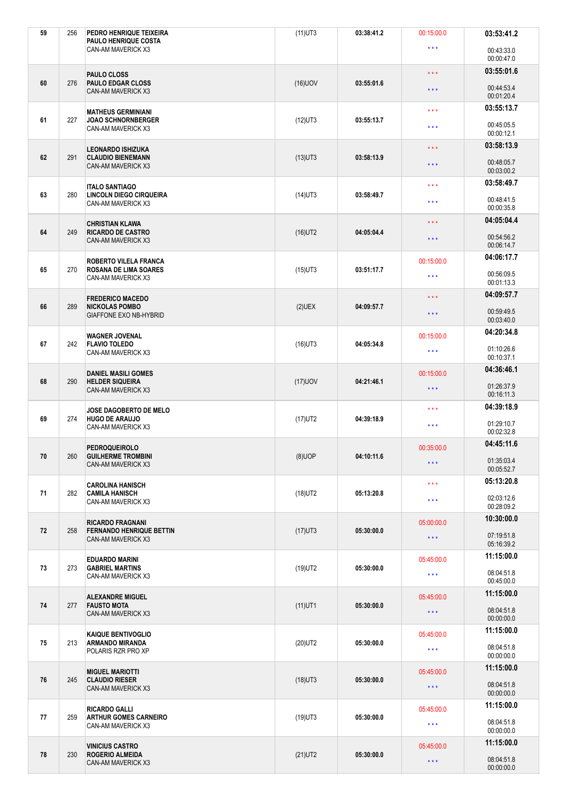|    | 256 | PEDRO HENRIQUE TEIXEIRA<br>PAULO HENRIQUE COSTA       | $(11)$ UT3 | 03:38:41.2 | 00:15:00.0              | 03:53:41.2               |
|----|-----|-------------------------------------------------------|------------|------------|-------------------------|--------------------------|
|    |     | CAN-AM MAVERICK X3                                    |            |            | $\star \star \star$     | 00:43:33.0<br>00:00:47.0 |
|    |     | PAULO CLOSS                                           |            |            | $\star \star \star$     | 03:55:01.6               |
| 60 | 276 | <b>PAULO EDGAR CLOSS</b><br>CAN-AM MAVERICK X3        | $(16)$ UOV | 03:55:01.6 | $\star$ $\star$ $\star$ | 00:44:53.4<br>00:01:20.4 |
|    |     | <b>MATHEUS GERMINIANI</b>                             |            |            | $\star \star \star$     | 03:55:13.7               |
| 61 | 227 | <b>JOAO SCHNORNBERGER</b><br>CAN-AM MAVERICK X3       | $(12)$ UT3 | 03:55:13.7 | $\star \star \star$     | 00:45:05.5<br>00:00:12.1 |
|    |     | <b>LEONARDO ISHIZUKA</b>                              |            |            | $\star \star \star$     | 03:58:13.9               |
| 62 | 291 | <b>CLAUDIO BIENEMANN</b><br><b>CAN-AM MAVERICK X3</b> | $(13)$ UT3 | 03:58:13.9 | $\star$ $\star$ $\star$ | 00:48:05.7<br>00:03:00.2 |
|    | 280 | <b>ITALO SANTIAGO</b>                                 |            | 03:58:49.7 | $\star \star \star$     | 03:58:49.7               |
| 63 |     | <b>LINCOLN DIEGO CIRQUEIRA</b><br>CAN-AM MAVERICK X3  | $(14)$ UT3 |            | $\star \star \star$     | 00:48:41.5<br>00:00:35.8 |
| 64 | 249 | <b>CHRISTIAN KLAWA</b><br><b>RICARDO DE CASTRO</b>    | $(16)$ UT2 | 04:05:04.4 | $\star \star \star$     | 04:05:04.4               |
|    |     | CAN-AM MAVERICK X3                                    |            |            | $\star \star \star$     | 00:54:56.2<br>00:06:14.7 |
|    | 270 | ROBERTO VILELA FRANCA<br><b>ROSANA DE LIMA SOARES</b> |            |            | 00:15:00.0              | 04:06:17.7               |
| 65 |     | CAN-AM MAVERICK X3                                    | $(15)$ UT3 | 03:51:17.7 | $\star \star \star$     | 00:56:09.5<br>00:01:13.3 |
|    |     | <b>FREDERICO MACEDO</b>                               |            |            | $\star \star \star$     | 04:09:57.7               |
| 66 | 289 | <b>NICKOLAS POMBO</b><br>GIAFFONE EXO NB-HYBRID       | $(2)$ UEX  | 04:09:57.7 | $\star \star \star$     | 00:59:49.5<br>00:03:40.0 |
|    |     | <b>WAGNER JOVENAL</b>                                 |            |            | 00:15:00.0              | 04:20:34.8               |
| 67 | 242 | <b>FLAVIO TOLEDO</b><br>CAN-AM MAVERICK X3            | $(16)$ UT3 | 04:05:34.8 | $\star \star \star$     | 01:10:26.6<br>00:10:37.1 |
|    |     | <b>DANIEL MASILI GOMES</b>                            |            |            | 00:15:00.0              | 04:36:46.1               |
| 68 | 290 | <b>HELDER SIQUEIRA</b><br>CAN-AM MAVERICK X3          | $(17)$ UOV | 04:21:46.1 | $\star$ $\star$ $\star$ | 01:26:37.9<br>00:16:11.3 |
|    |     | JOSE DAGOBERTO DE MELO                                |            |            | $\star \star \star$     | 04:39:18.9               |
| 69 | 274 | <b>HUGO DE ARAUJO</b><br>CAN-AM MAVERICK X3           | $(17)$ UT2 | 04:39:18.9 | $\star \star \star$     | 01:29:10.7<br>00:02:32.8 |
|    |     |                                                       |            |            |                         | 04:45:11.6               |
|    |     | <b>PEDROQUEIROLO</b>                                  |            |            | 00:35:00.0              |                          |
| 70 | 260 | <b>GUILHERME TROMBINI</b><br>CAN-AM MAVERICK X3       | $(8)$ UOP  | 04:10:11.6 | $\star \star \star$     | 01:35:03.4<br>00:05:52.7 |
|    |     | <b>CAROLINA HANISCH</b>                               |            |            | $\star \star \star$     | 05:13:20.8               |
| 71 | 282 | <b>CAMILA HANISCH</b><br>CAN-AM MAVERICK X3           | $(18)$ UT2 | 05:13:20.8 | $\star \star \star$     | 02:03:12.6<br>00:28:09.2 |
|    |     | <b>RICARDO FRAGNANI</b>                               |            |            | 05:00:00.0              | 10:30:00.0               |
| 72 | 258 | <b>FERNANDO HENRIQUE BETTIN</b><br>CAN-AM MAVERICK X3 | $(17)$ UT3 | 05:30:00.0 | $\star \star \star$     | 07:19:51.8<br>05:16:39.2 |
|    |     | <b>EDUARDO MARINI</b>                                 |            |            | 05:45:00.0              | 11:15:00.0               |
| 73 | 273 | <b>GABRIEL MARTINS</b><br>CAN-AM MAVERICK X3          | $(19)$ UT2 | 05:30:00.0 | $\star\star\star$       | 08:04:51.8<br>00:45:00.0 |
|    |     | <b>ALEXANDRE MIGUEL</b>                               |            |            | 05:45:00.0              | 11:15:00.0               |
| 74 | 277 | <b>FAUSTO MOTA</b><br>CAN-AM MAVERICK X3              | $(11)$ UT1 | 05:30:00.0 | $\star\star\star$       | 08:04:51.8<br>00:00:00.0 |
|    |     | KAIQUE BENTIVOGLIO                                    |            |            | 05:45:00.0              | 11:15:00.0               |
| 75 | 213 | <b>ARMANDO MIRANDA</b><br>POLARIS RZR PRO XP          | $(20)$ UT2 | 05:30:00.0 | $***$                   | 08:04:51.8<br>00:00:00.0 |
|    |     | <b>MIGUEL MARIOTTI</b>                                |            |            | 05:45:00.0              | 11:15:00.0               |
| 76 | 245 | <b>CLAUDIO RIESER</b><br>CAN-AM MAVERICK X3           | $(18)$ UT3 | 05:30:00.0 | $\star$ $\star$ $\star$ | 08:04:51.8<br>00:00:00.0 |
|    |     | <b>RICARDO GALLI</b>                                  |            |            | 05:45:00.0              | 11:15:00.0               |
| 77 | 259 | <b>ARTHUR GOMES CARNEIRO</b><br>CAN-AM MAVERICK X3    | $(19)$ UT3 | 05:30:00.0 | $\star\star\star$       | 08:04:51.8<br>00:00:00.0 |
| 78 | 230 | <b>VINICIUS CASTRO</b><br><b>ROGERIO ALMEIDA</b>      | $(21)$ UT2 | 05:30:00.0 | 05:45:00.0              | 11:15:00.0               |